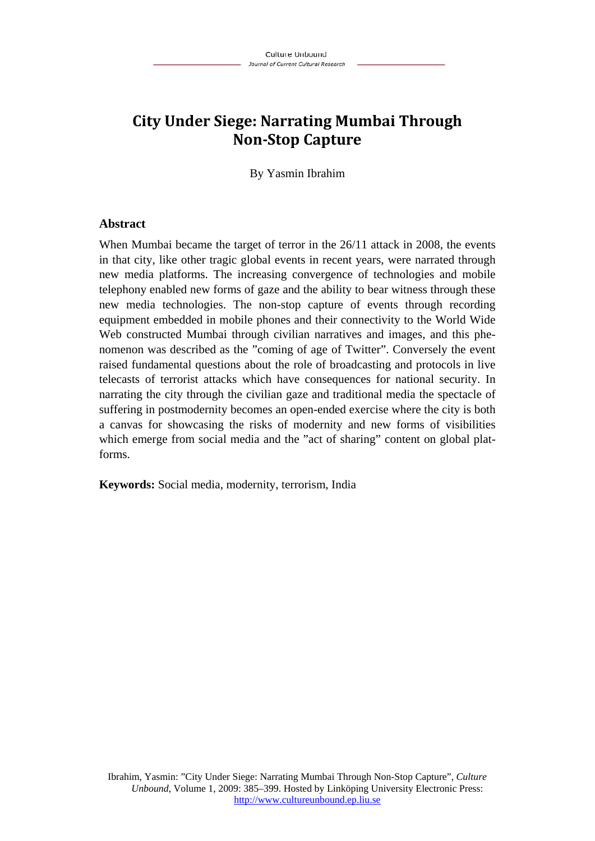# **City Under Siege: Narrating Mumbai Through NonStop Capture**

By Yasmin Ibrahim

#### **Abstract**

When Mumbai became the target of terror in the 26/11 attack in 2008, the events in that city, like other tragic global events in recent years, were narrated through new media platforms. The increasing convergence of technologies and mobile telephony enabled new forms of gaze and the ability to bear witness through these new media technologies. The non-stop capture of events through recording equipment embedded in mobile phones and their connectivity to the World Wide Web constructed Mumbai through civilian narratives and images, and this phenomenon was described as the "coming of age of Twitter". Conversely the event raised fundamental questions about the role of broadcasting and protocols in live telecasts of terrorist attacks which have consequences for national security. In narrating the city through the civilian gaze and traditional media the spectacle of suffering in postmodernity becomes an open-ended exercise where the city is both a canvas for showcasing the risks of modernity and new forms of visibilities which emerge from social media and the "act of sharing" content on global platforms.

**Keywords:** Social media, modernity, terrorism, India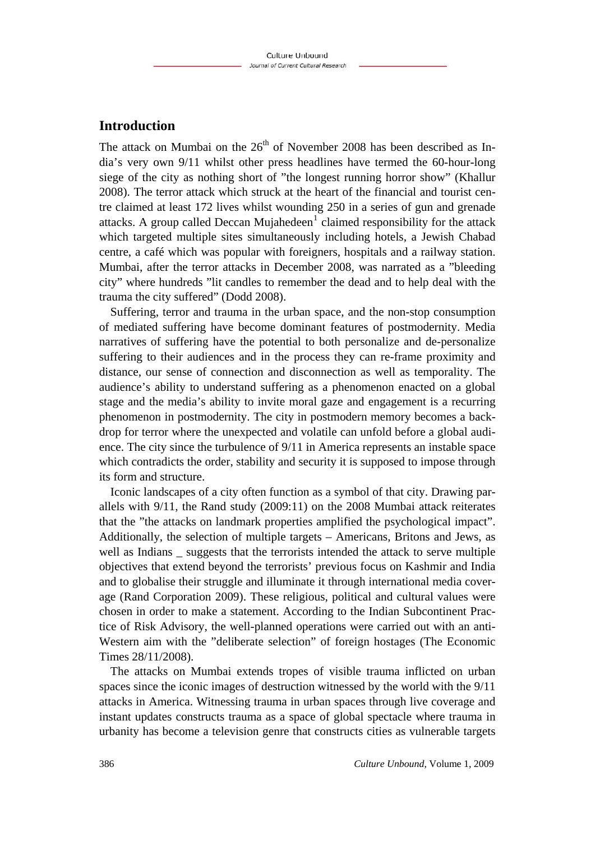## **Introduction**

The attack on Mumbai on the  $26<sup>th</sup>$  of November 2008 has been described as India's very own 9/11 whilst other press headlines have termed the 60-hour-long siege of the city as nothing short of "the longest running horror show" (Khallur 2008). The terror attack which struck at the heart of the financial and tourist centre claimed at least 172 lives whilst wounding 250 in a series of gun and grenade attacks. A group called Deccan Mujahedeen<sup>[1](#page-14-0)</sup> claimed responsibility for the attack which targeted multiple sites simultaneously including hotels, a Jewish Chabad centre, a café which was popular with foreigners, hospitals and a railway station. Mumbai, after the terror attacks in December 2008, was narrated as a "bleeding city" where hundreds "lit candles to remember the dead and to help deal with the trauma the city suffered" (Dodd 2008).

Suffering, terror and trauma in the urban space, and the non-stop consumption of mediated suffering have become dominant features of postmodernity. Media narratives of suffering have the potential to both personalize and de-personalize suffering to their audiences and in the process they can re-frame proximity and distance, our sense of connection and disconnection as well as temporality. The audience's ability to understand suffering as a phenomenon enacted on a global stage and the media's ability to invite moral gaze and engagement is a recurring phenomenon in postmodernity. The city in postmodern memory becomes a backdrop for terror where the unexpected and volatile can unfold before a global audience. The city since the turbulence of 9/11 in America represents an instable space which contradicts the order, stability and security it is supposed to impose through its form and structure.

Iconic landscapes of a city often function as a symbol of that city. Drawing parallels with 9/11, the Rand study (2009:11) on the 2008 Mumbai attack reiterates that the "the attacks on landmark properties amplified the psychological impact". Additionally, the selection of multiple targets – Americans, Britons and Jews, as well as Indians suggests that the terrorists intended the attack to serve multiple objectives that extend beyond the terrorists' previous focus on Kashmir and India and to globalise their struggle and illuminate it through international media coverage (Rand Corporation 2009). These religious, political and cultural values were chosen in order to make a statement. According to the Indian Subcontinent Practice of Risk Advisory, the well-planned operations were carried out with an anti-Western aim with the "deliberate selection" of foreign hostages (The Economic Times 28/11/2008).

The attacks on Mumbai extends tropes of visible trauma inflicted on urban spaces since the iconic images of destruction witnessed by the world with the 9/11 attacks in America. Witnessing trauma in urban spaces through live coverage and instant updates constructs trauma as a space of global spectacle where trauma in urbanity has become a television genre that constructs cities as vulnerable targets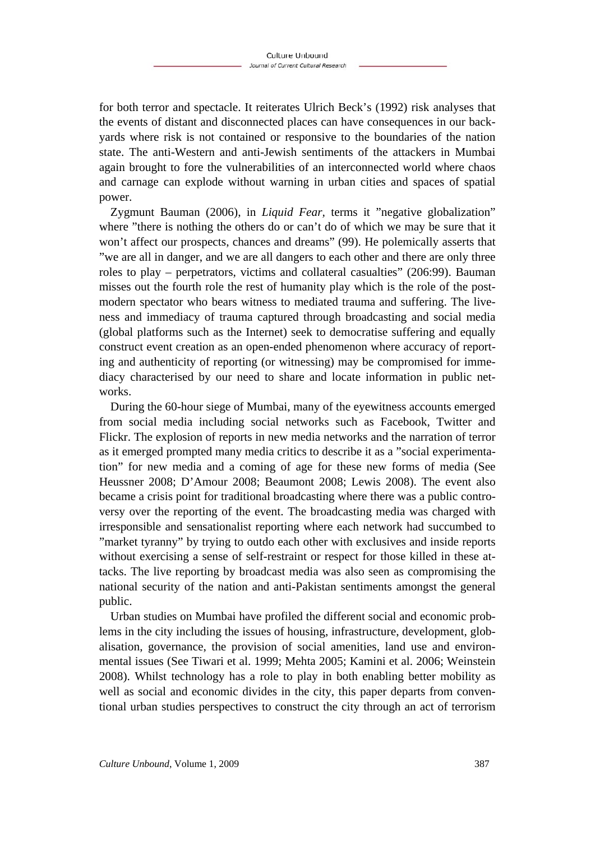for both terror and spectacle. It reiterates Ulrich Beck's (1992) risk analyses that the events of distant and disconnected places can have consequences in our backyards where risk is not contained or responsive to the boundaries of the nation state. The anti-Western and anti-Jewish sentiments of the attackers in Mumbai again brought to fore the vulnerabilities of an interconnected world where chaos and carnage can explode without warning in urban cities and spaces of spatial power.

Zygmunt Bauman (2006), in *Liquid Fear,* terms it "negative globalization" where "there is nothing the others do or can't do of which we may be sure that it won't affect our prospects, chances and dreams" (99). He polemically asserts that "we are all in danger, and we are all dangers to each other and there are only three roles to play – perpetrators, victims and collateral casualties" (206:99). Bauman misses out the fourth role the rest of humanity play which is the role of the postmodern spectator who bears witness to mediated trauma and suffering. The liveness and immediacy of trauma captured through broadcasting and social media (global platforms such as the Internet) seek to democratise suffering and equally construct event creation as an open-ended phenomenon where accuracy of reporting and authenticity of reporting (or witnessing) may be compromised for immediacy characterised by our need to share and locate information in public networks.

During the 60-hour siege of Mumbai, many of the eyewitness accounts emerged from social media including social networks such as Facebook, Twitter and Flickr. The explosion of reports in new media networks and the narration of terror as it emerged prompted many media critics to describe it as a "social experimentation" for new media and a coming of age for these new forms of media (See Heussner 2008; D'Amour 2008; Beaumont 2008; Lewis 2008). The event also became a crisis point for traditional broadcasting where there was a public controversy over the reporting of the event. The broadcasting media was charged with irresponsible and sensationalist reporting where each network had succumbed to "market tyranny" by trying to outdo each other with exclusives and inside reports without exercising a sense of self-restraint or respect for those killed in these attacks. The live reporting by broadcast media was also seen as compromising the national security of the nation and anti-Pakistan sentiments amongst the general public.

Urban studies on Mumbai have profiled the different social and economic problems in the city including the issues of housing, infrastructure, development, globalisation, governance, the provision of social amenities, land use and environmental issues (See Tiwari et al. 1999; Mehta 2005; Kamini et al. 2006; Weinstein 2008). Whilst technology has a role to play in both enabling better mobility as well as social and economic divides in the city, this paper departs from conventional urban studies perspectives to construct the city through an act of terrorism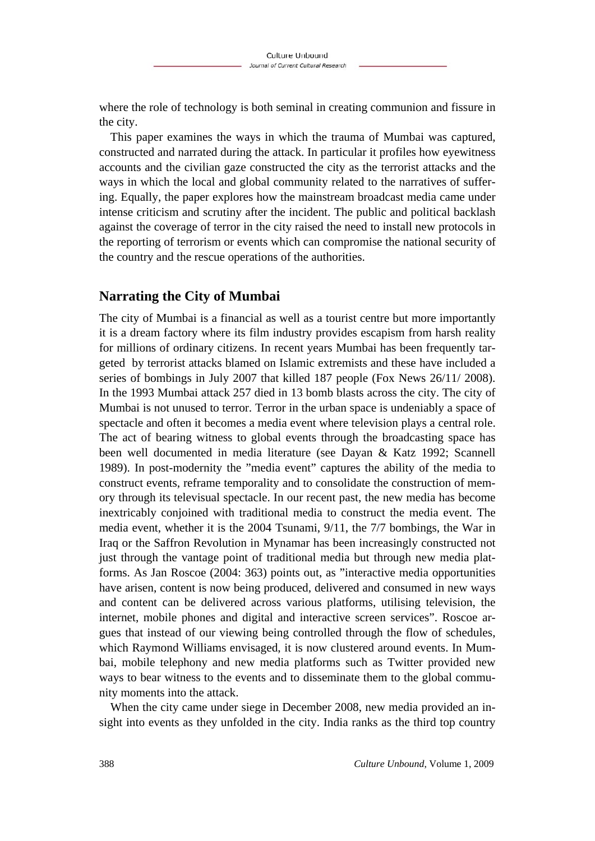where the role of technology is both seminal in creating communion and fissure in the city.

This paper examines the ways in which the trauma of Mumbai was captured, constructed and narrated during the attack. In particular it profiles how eyewitness accounts and the civilian gaze constructed the city as the terrorist attacks and the ways in which the local and global community related to the narratives of suffering. Equally, the paper explores how the mainstream broadcast media came under intense criticism and scrutiny after the incident. The public and political backlash against the coverage of terror in the city raised the need to install new protocols in the reporting of terrorism or events which can compromise the national security of the country and the rescue operations of the authorities.

## **Narrating the City of Mumbai**

The city of Mumbai is a financial as well as a tourist centre but more importantly it is a dream factory where its film industry provides escapism from harsh reality for millions of ordinary citizens. In recent years Mumbai has been frequently targeted by terrorist attacks blamed on Islamic extremists and these have included a series of bombings in July 2007 that killed 187 people (Fox News 26/11/ 2008). In the 1993 Mumbai attack 257 died in 13 bomb blasts across the city. The city of Mumbai is not unused to terror. Terror in the urban space is undeniably a space of spectacle and often it becomes a media event where television plays a central role. The act of bearing witness to global events through the broadcasting space has been well documented in media literature (see Dayan & Katz 1992; Scannell 1989). In post-modernity the "media event" captures the ability of the media to construct events, reframe temporality and to consolidate the construction of memory through its televisual spectacle. In our recent past, the new media has become inextricably conjoined with traditional media to construct the media event. The media event, whether it is the 2004 Tsunami, 9/11, the 7/7 bombings, the War in Iraq or the Saffron Revolution in Mynamar has been increasingly constructed not just through the vantage point of traditional media but through new media platforms. As Jan Roscoe (2004: 363) points out, as "interactive media opportunities have arisen, content is now being produced, delivered and consumed in new ways and content can be delivered across various platforms, utilising television, the internet, mobile phones and digital and interactive screen services". Roscoe argues that instead of our viewing being controlled through the flow of schedules, which Raymond Williams envisaged, it is now clustered around events. In Mumbai, mobile telephony and new media platforms such as Twitter provided new ways to bear witness to the events and to disseminate them to the global community moments into the attack.

When the city came under siege in December 2008, new media provided an insight into events as they unfolded in the city. India ranks as the third top country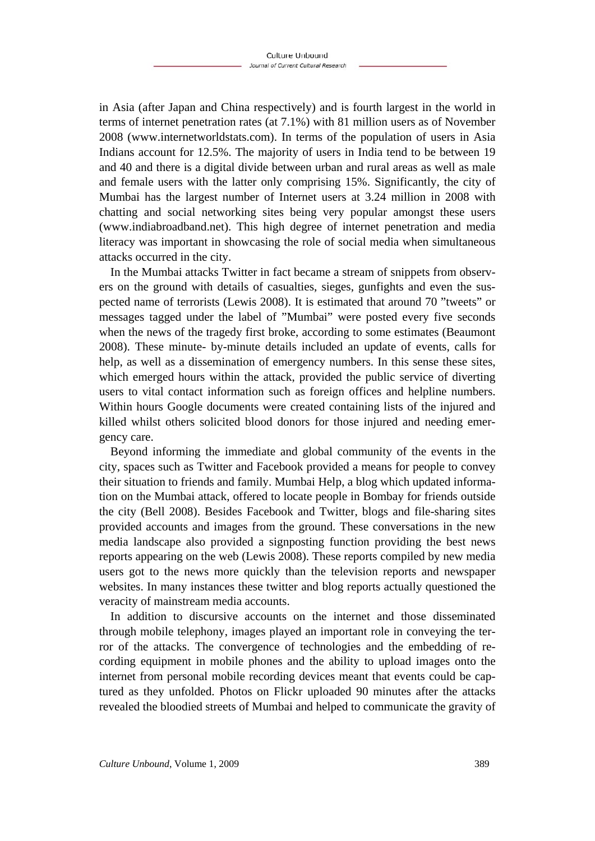in Asia (after Japan and China respectively) and is fourth largest in the world in terms of internet penetration rates (at 7.1%) with 81 million users as of November 2008 (www.internetworldstats.com). In terms of the population of users in Asia Indians account for 12.5%. The majority of users in India tend to be between 19 and 40 and there is a digital divide between urban and rural areas as well as male and female users with the latter only comprising 15%. Significantly, the city of Mumbai has the largest number of Internet users at 3.24 million in 2008 with chatting and social networking sites being very popular amongst these users (www.indiabroadband.net). This high degree of internet penetration and media literacy was important in showcasing the role of social media when simultaneous attacks occurred in the city.

In the Mumbai attacks Twitter in fact became a stream of snippets from observers on the ground with details of casualties, sieges, gunfights and even the suspected name of terrorists (Lewis 2008). It is estimated that around 70 "tweets" or messages tagged under the label of "Mumbai" were posted every five seconds when the news of the tragedy first broke, according to some estimates (Beaumont 2008). These minute- by-minute details included an update of events, calls for help, as well as a dissemination of emergency numbers. In this sense these sites, which emerged hours within the attack, provided the public service of diverting users to vital contact information such as foreign offices and helpline numbers. Within hours Google documents were created containing lists of the injured and killed whilst others solicited blood donors for those injured and needing emergency care.

Beyond informing the immediate and global community of the events in the city, spaces such as Twitter and Facebook provided a means for people to convey their situation to friends and family. Mumbai Help, a blog which updated information on the Mumbai attack, offered to locate people in Bombay for friends outside the city (Bell 2008). Besides Facebook and Twitter, blogs and file-sharing sites provided accounts and images from the ground. These conversations in the new media landscape also provided a signposting function providing the best news reports appearing on the web (Lewis 2008). These reports compiled by new media users got to the news more quickly than the television reports and newspaper websites. In many instances these twitter and blog reports actually questioned the veracity of mainstream media accounts.

In addition to discursive accounts on the internet and those disseminated through mobile telephony, images played an important role in conveying the terror of the attacks. The convergence of technologies and the embedding of recording equipment in mobile phones and the ability to upload images onto the internet from personal mobile recording devices meant that events could be captured as they unfolded. Photos on Flickr uploaded 90 minutes after the attacks revealed the bloodied streets of Mumbai and helped to communicate the gravity of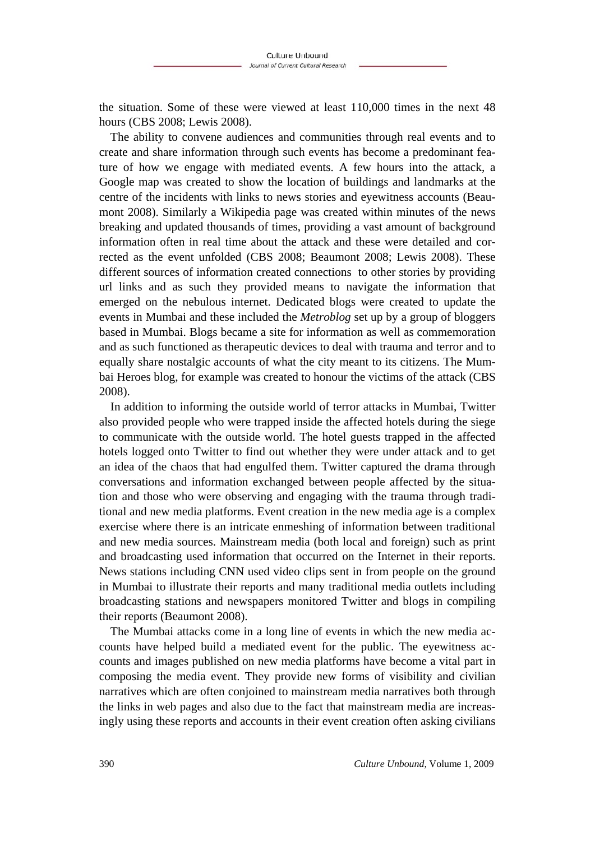the situation. Some of these were viewed at least 110,000 times in the next 48 hours (CBS 2008; Lewis 2008).

The ability to convene audiences and communities through real events and to create and share information through such events has become a predominant feature of how we engage with mediated events. A few hours into the attack, a Google map was created to show the location of buildings and landmarks at the centre of the incidents with links to news stories and eyewitness accounts (Beaumont 2008). Similarly a Wikipedia page was created within minutes of the news breaking and updated thousands of times, providing a vast amount of background information often in real time about the attack and these were detailed and corrected as the event unfolded (CBS 2008; Beaumont 2008; Lewis 2008). These different sources of information created connections to other stories by providing url links and as such they provided means to navigate the information that emerged on the nebulous internet. Dedicated blogs were created to update the events in Mumbai and these included the *Metroblog* set up by a group of bloggers based in Mumbai. Blogs became a site for information as well as commemoration and as such functioned as therapeutic devices to deal with trauma and terror and to equally share nostalgic accounts of what the city meant to its citizens. The Mumbai Heroes blog, for example was created to honour the victims of the attack (CBS 2008).

In addition to informing the outside world of terror attacks in Mumbai, Twitter also provided people who were trapped inside the affected hotels during the siege to communicate with the outside world. The hotel guests trapped in the affected hotels logged onto Twitter to find out whether they were under attack and to get an idea of the chaos that had engulfed them. Twitter captured the drama through conversations and information exchanged between people affected by the situation and those who were observing and engaging with the trauma through traditional and new media platforms. Event creation in the new media age is a complex exercise where there is an intricate enmeshing of information between traditional and new media sources. Mainstream media (both local and foreign) such as print and broadcasting used information that occurred on the Internet in their reports. News stations including CNN used video clips sent in from people on the ground in Mumbai to illustrate their reports and many traditional media outlets including broadcasting stations and newspapers monitored Twitter and blogs in compiling their reports (Beaumont 2008).

The Mumbai attacks come in a long line of events in which the new media accounts have helped build a mediated event for the public. The eyewitness accounts and images published on new media platforms have become a vital part in composing the media event. They provide new forms of visibility and civilian narratives which are often conjoined to mainstream media narratives both through the links in web pages and also due to the fact that mainstream media are increasingly using these reports and accounts in their event creation often asking civilians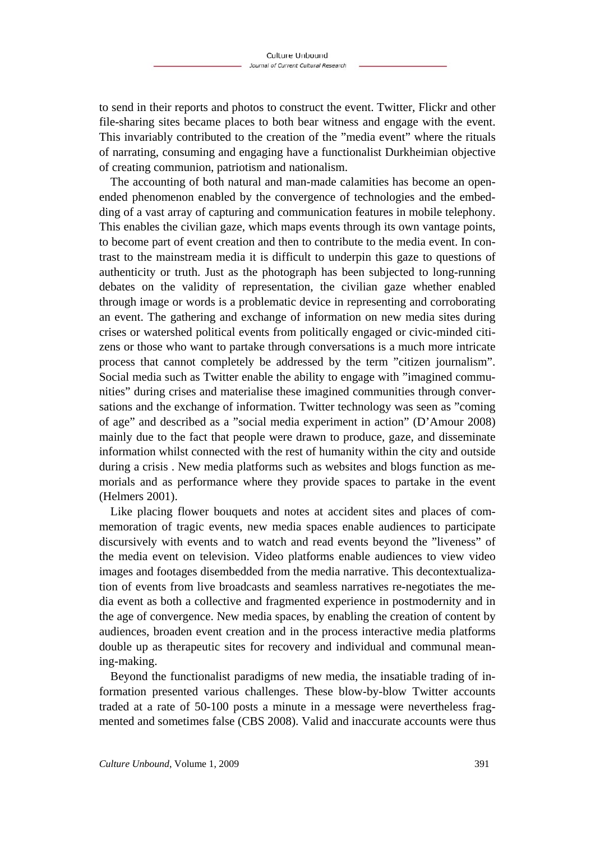to send in their reports and photos to construct the event. Twitter, Flickr and other file-sharing sites became places to both bear witness and engage with the event. This invariably contributed to the creation of the "media event" where the rituals of narrating, consuming and engaging have a functionalist Durkheimian objective of creating communion, patriotism and nationalism.

The accounting of both natural and man-made calamities has become an openended phenomenon enabled by the convergence of technologies and the embedding of a vast array of capturing and communication features in mobile telephony. This enables the civilian gaze, which maps events through its own vantage points, to become part of event creation and then to contribute to the media event. In contrast to the mainstream media it is difficult to underpin this gaze to questions of authenticity or truth. Just as the photograph has been subjected to long-running debates on the validity of representation, the civilian gaze whether enabled through image or words is a problematic device in representing and corroborating an event. The gathering and exchange of information on new media sites during crises or watershed political events from politically engaged or civic-minded citizens or those who want to partake through conversations is a much more intricate process that cannot completely be addressed by the term "citizen journalism". Social media such as Twitter enable the ability to engage with "imagined communities" during crises and materialise these imagined communities through conversations and the exchange of information. Twitter technology was seen as "coming of age" and described as a "social media experiment in action" (D'Amour 2008) mainly due to the fact that people were drawn to produce, gaze, and disseminate information whilst connected with the rest of humanity within the city and outside during a crisis . New media platforms such as websites and blogs function as memorials and as performance where they provide spaces to partake in the event (Helmers 2001).

Like placing flower bouquets and notes at accident sites and places of commemoration of tragic events, new media spaces enable audiences to participate discursively with events and to watch and read events beyond the "liveness" of the media event on television. Video platforms enable audiences to view video images and footages disembedded from the media narrative. This decontextualization of events from live broadcasts and seamless narratives re-negotiates the media event as both a collective and fragmented experience in postmodernity and in the age of convergence. New media spaces, by enabling the creation of content by audiences, broaden event creation and in the process interactive media platforms double up as therapeutic sites for recovery and individual and communal meaning-making.

Beyond the functionalist paradigms of new media, the insatiable trading of information presented various challenges. These blow-by-blow Twitter accounts traded at a rate of 50-100 posts a minute in a message were nevertheless fragmented and sometimes false (CBS 2008). Valid and inaccurate accounts were thus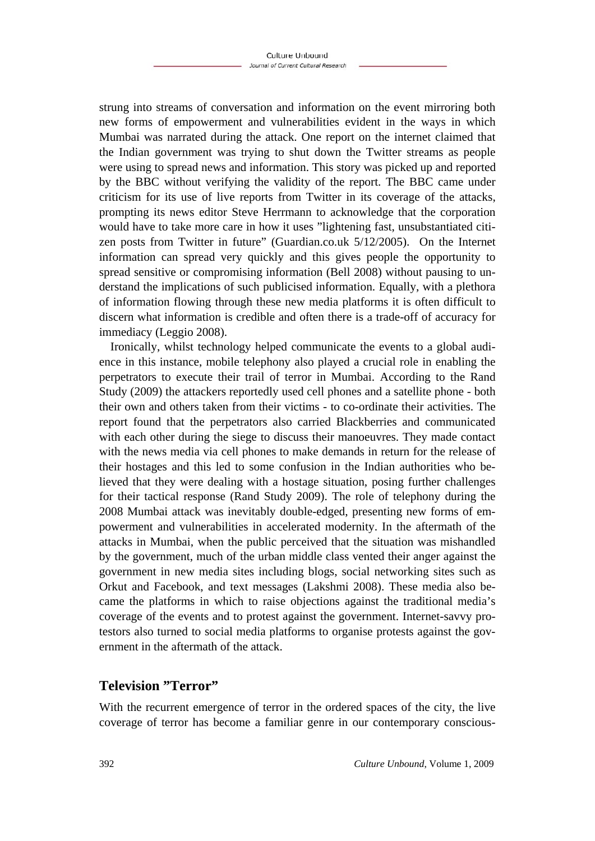strung into streams of conversation and information on the event mirroring both new forms of empowerment and vulnerabilities evident in the ways in which Mumbai was narrated during the attack. One report on the internet claimed that the Indian government was trying to shut down the Twitter streams as people were using to spread news and information. This story was picked up and reported by the BBC without verifying the validity of the report. The BBC came under criticism for its use of live reports from Twitter in its coverage of the attacks, prompting its news editor Steve Herrmann to acknowledge that the corporation would have to take more care in how it uses "lightening fast, unsubstantiated citizen posts from Twitter in future" (Guardian.co.uk 5/12/2005). On the Internet information can spread very quickly and this gives people the opportunity to spread sensitive or compromising information (Bell 2008) without pausing to understand the implications of such publicised information. Equally, with a plethora of information flowing through these new media platforms it is often difficult to discern what information is credible and often there is a trade-off of accuracy for immediacy (Leggio 2008).

Ironically, whilst technology helped communicate the events to a global audience in this instance, mobile telephony also played a crucial role in enabling the perpetrators to execute their trail of terror in Mumbai. According to the Rand Study (2009) the attackers reportedly used cell phones and a satellite phone - both their own and others taken from their victims - to co-ordinate their activities. The report found that the perpetrators also carried Blackberries and communicated with each other during the siege to discuss their manoeuvres. They made contact with the news media via cell phones to make demands in return for the release of their hostages and this led to some confusion in the Indian authorities who believed that they were dealing with a hostage situation, posing further challenges for their tactical response (Rand Study 2009). The role of telephony during the 2008 Mumbai attack was inevitably double-edged, presenting new forms of empowerment and vulnerabilities in accelerated modernity. In the aftermath of the attacks in Mumbai, when the public perceived that the situation was mishandled by the government, much of the urban middle class vented their anger against the government in new media sites including blogs, social networking sites such as Orkut and Facebook, and text messages (Lakshmi 2008). These media also became the platforms in which to raise objections against the traditional media's coverage of the events and to protest against the government. Internet-savvy protestors also turned to social media platforms to organise protests against the government in the aftermath of the attack.

# **Television "Terror"**

With the recurrent emergence of terror in the ordered spaces of the city, the live coverage of terror has become a familiar genre in our contemporary conscious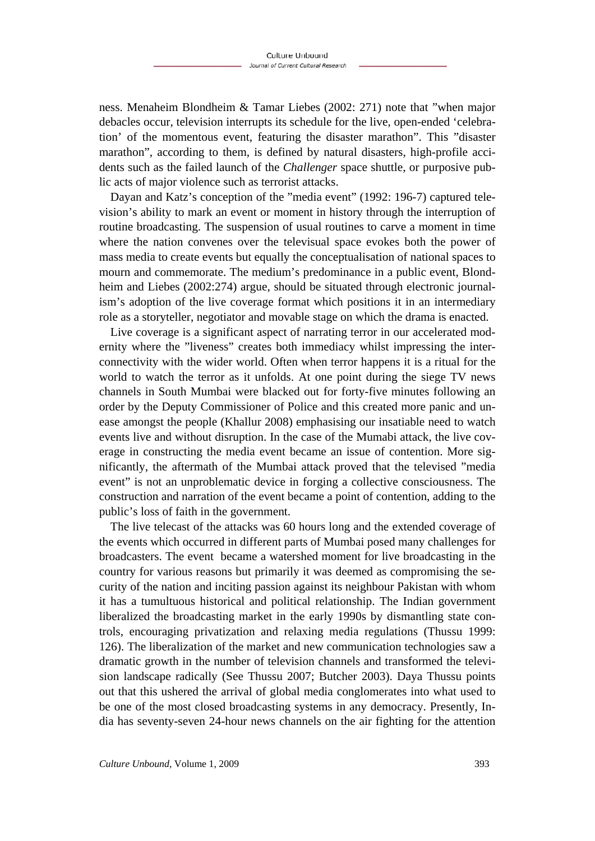ness. Menaheim Blondheim & Tamar Liebes (2002: 271) note that "when major debacles occur, television interrupts its schedule for the live, open-ended 'celebration' of the momentous event, featuring the disaster marathon". This "disaster marathon", according to them, is defined by natural disasters, high-profile accidents such as the failed launch of the *Challenger* space shuttle, or purposive public acts of major violence such as terrorist attacks.

Dayan and Katz's conception of the "media event" (1992: 196-7) captured television's ability to mark an event or moment in history through the interruption of routine broadcasting. The suspension of usual routines to carve a moment in time where the nation convenes over the televisual space evokes both the power of mass media to create events but equally the conceptualisation of national spaces to mourn and commemorate. The medium's predominance in a public event, Blondheim and Liebes (2002:274) argue, should be situated through electronic journalism's adoption of the live coverage format which positions it in an intermediary role as a storyteller, negotiator and movable stage on which the drama is enacted.

Live coverage is a significant aspect of narrating terror in our accelerated modernity where the "liveness" creates both immediacy whilst impressing the interconnectivity with the wider world. Often when terror happens it is a ritual for the world to watch the terror as it unfolds. At one point during the siege TV news channels in South Mumbai were blacked out for forty-five minutes following an order by the Deputy Commissioner of Police and this created more panic and unease amongst the people (Khallur 2008) emphasising our insatiable need to watch events live and without disruption. In the case of the Mumabi attack, the live coverage in constructing the media event became an issue of contention. More significantly, the aftermath of the Mumbai attack proved that the televised "media event" is not an unproblematic device in forging a collective consciousness. The construction and narration of the event became a point of contention, adding to the public's loss of faith in the government.

The live telecast of the attacks was 60 hours long and the extended coverage of the events which occurred in different parts of Mumbai posed many challenges for broadcasters. The event became a watershed moment for live broadcasting in the country for various reasons but primarily it was deemed as compromising the security of the nation and inciting passion against its neighbour Pakistan with whom it has a tumultuous historical and political relationship. The Indian government liberalized the broadcasting market in the early 1990s by dismantling state controls, encouraging privatization and relaxing media regulations (Thussu 1999: 126). The liberalization of the market and new communication technologies saw a dramatic growth in the number of television channels and transformed the television landscape radically (See Thussu 2007; Butcher 2003). Daya Thussu points out that this ushered the arrival of global media conglomerates into what used to be one of the most closed broadcasting systems in any democracy. Presently, India has seventy-seven 24-hour news channels on the air fighting for the attention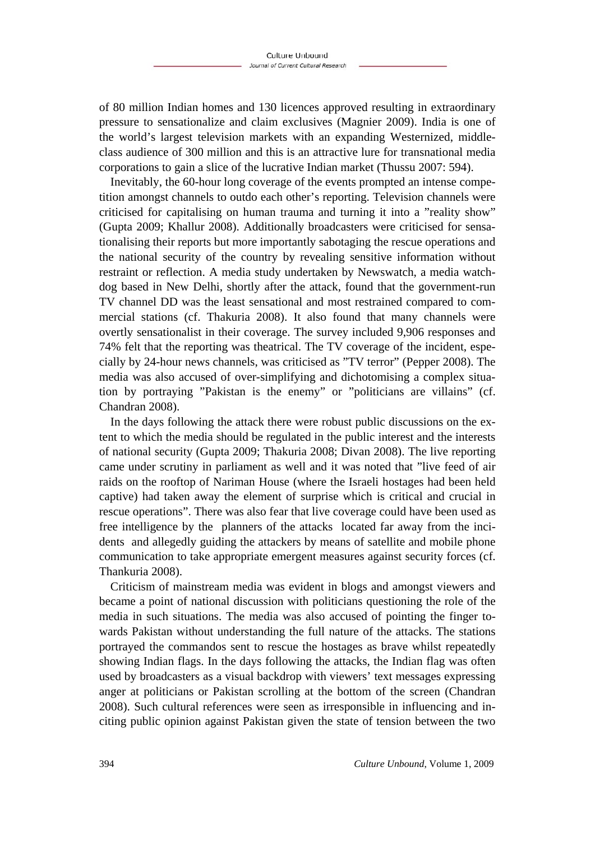of 80 million Indian homes and 130 licences approved resulting in extraordinary pressure to sensationalize and claim exclusives (Magnier 2009). India is one of the world's largest television markets with an expanding Westernized, middleclass audience of 300 million and this is an attractive lure for transnational media corporations to gain a slice of the lucrative Indian market (Thussu 2007: 594).

Inevitably, the 60-hour long coverage of the events prompted an intense competition amongst channels to outdo each other's reporting. Television channels were criticised for capitalising on human trauma and turning it into a "reality show" (Gupta 2009; Khallur 2008). Additionally broadcasters were criticised for sensationalising their reports but more importantly sabotaging the rescue operations and the national security of the country by revealing sensitive information without restraint or reflection. A media study undertaken by Newswatch, a media watchdog based in New Delhi, shortly after the attack, found that the government-run TV channel DD was the least sensational and most restrained compared to commercial stations (cf. Thakuria 2008). It also found that many channels were overtly sensationalist in their coverage. The survey included 9,906 responses and 74% felt that the reporting was theatrical. The TV coverage of the incident, especially by 24-hour news channels, was criticised as "TV terror" (Pepper 2008). The media was also accused of over-simplifying and dichotomising a complex situation by portraying "Pakistan is the enemy" or "politicians are villains" (cf. Chandran 2008).

In the days following the attack there were robust public discussions on the extent to which the media should be regulated in the public interest and the interests of national security (Gupta 2009; Thakuria 2008; Divan 2008). The live reporting came under scrutiny in parliament as well and it was noted that "live feed of air raids on the rooftop of Nariman House (where the Israeli hostages had been held captive) had taken away the element of surprise which is critical and crucial in rescue operations". There was also fear that live coverage could have been used as free intelligence by the planners of the attacks located far away from the incidents and allegedly guiding the attackers by means of satellite and mobile phone communication to take appropriate emergent measures against security forces (cf. Thankuria 2008).

Criticism of mainstream media was evident in blogs and amongst viewers and became a point of national discussion with politicians questioning the role of the media in such situations. The media was also accused of pointing the finger towards Pakistan without understanding the full nature of the attacks. The stations portrayed the commandos sent to rescue the hostages as brave whilst repeatedly showing Indian flags. In the days following the attacks, the Indian flag was often used by broadcasters as a visual backdrop with viewers' text messages expressing anger at politicians or Pakistan scrolling at the bottom of the screen (Chandran 2008). Such cultural references were seen as irresponsible in influencing and inciting public opinion against Pakistan given the state of tension between the two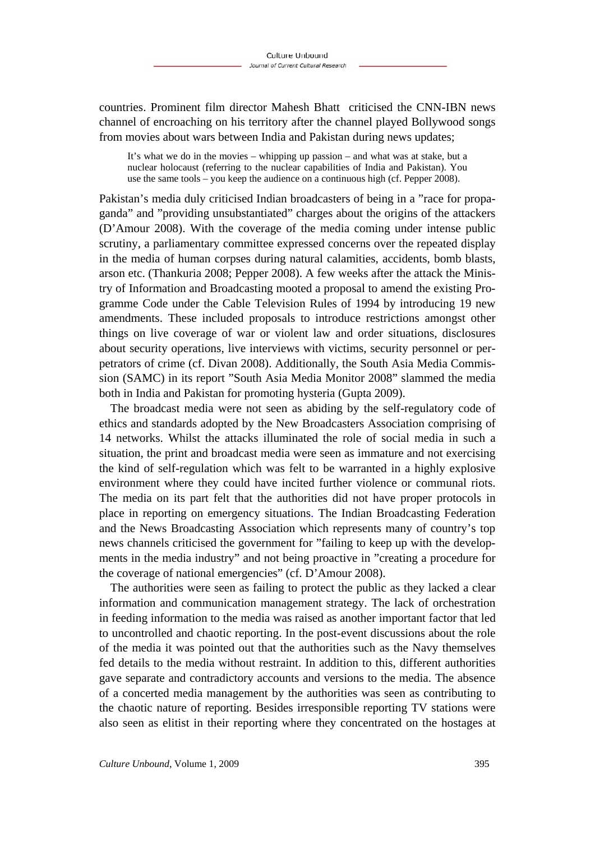countries. Prominent film director Mahesh Bhatt criticised the CNN-IBN news channel of encroaching on his territory after the channel played Bollywood songs from movies about wars between India and Pakistan during news updates;

It's what we do in the movies – whipping up passion – and what was at stake, but a nuclear holocaust (referring to the nuclear capabilities of India and Pakistan). You use the same tools – you keep the audience on a continuous high (cf. Pepper 2008).

Pakistan's media duly criticised Indian broadcasters of being in a "race for propaganda" and "providing unsubstantiated" charges about the origins of the attackers (D'Amour 2008). With the coverage of the media coming under intense public scrutiny, a parliamentary committee expressed concerns over the repeated display in the media of human corpses during natural calamities, accidents, bomb blasts, arson etc. (Thankuria 2008; Pepper 2008). A few weeks after the attack the Ministry of Information and Broadcasting mooted a proposal to amend the existing Programme Code under the Cable Television Rules of 1994 by introducing 19 new amendments. These included proposals to introduce restrictions amongst other things on live coverage of war or violent law and order situations, disclosures about security operations, live interviews with victims, security personnel or perpetrators of crime (cf. Divan 2008). Additionally, the South Asia Media Commission (SAMC) in its report "South Asia Media Monitor 2008" slammed the media both in India and Pakistan for promoting hysteria (Gupta 2009).

The broadcast media were not seen as abiding by the self-regulatory code of ethics and standards adopted by the New Broadcasters Association comprising of 14 networks. Whilst the attacks illuminated the role of social media in such a situation, the print and broadcast media were seen as immature and not exercising the kind of self-regulation which was felt to be warranted in a highly explosive environment where they could have incited further violence or communal riots. The media on its part felt that the authorities did not have proper protocols in place in reporting on emergency situations. The Indian Broadcasting Federation and the News Broadcasting Association which represents many of country's top news channels criticised the government for "failing to keep up with the developments in the media industry" and not being proactive in "creating a procedure for the coverage of national emergencies" (cf. D'Amour 2008).

The authorities were seen as failing to protect the public as they lacked a clear information and communication management strategy. The lack of orchestration in feeding information to the media was raised as another important factor that led to uncontrolled and chaotic reporting. In the post-event discussions about the role of the media it was pointed out that the authorities such as the Navy themselves fed details to the media without restraint. In addition to this, different authorities gave separate and contradictory accounts and versions to the media. The absence of a concerted media management by the authorities was seen as contributing to the chaotic nature of reporting. Besides irresponsible reporting TV stations were also seen as elitist in their reporting where they concentrated on the hostages at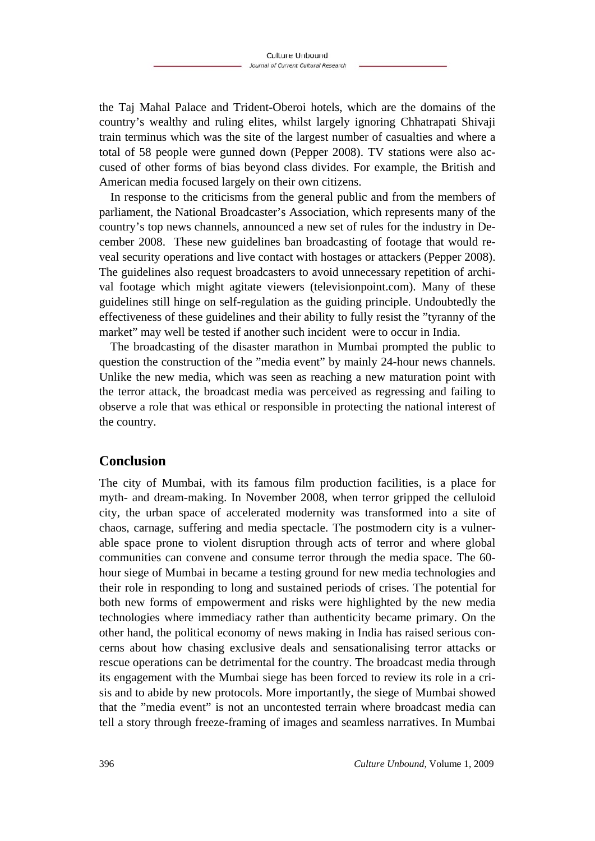the Taj Mahal Palace and Trident-Oberoi hotels, which are the domains of the country's wealthy and ruling elites, whilst largely ignoring Chhatrapati Shivaji train terminus which was the site of the largest number of casualties and where a total of 58 people were gunned down (Pepper 2008). TV stations were also accused of other forms of bias beyond class divides. For example, the British and American media focused largely on their own citizens.

In response to the criticisms from the general public and from the members of parliament, the National Broadcaster's Association, which represents many of the country's top news channels, announced a new set of rules for the industry in December 2008. These new guidelines ban broadcasting of footage that would reveal security operations and live contact with hostages or attackers (Pepper 2008). The guidelines also request broadcasters to avoid unnecessary repetition of archival footage which might agitate viewers (televisionpoint.com). Many of these guidelines still hinge on self-regulation as the guiding principle. Undoubtedly the effectiveness of these guidelines and their ability to fully resist the "tyranny of the market" may well be tested if another such incident were to occur in India.

The broadcasting of the disaster marathon in Mumbai prompted the public to question the construction of the "media event" by mainly 24-hour news channels. Unlike the new media, which was seen as reaching a new maturation point with the terror attack, the broadcast media was perceived as regressing and failing to observe a role that was ethical or responsible in protecting the national interest of the country.

### **Conclusion**

The city of Mumbai, with its famous film production facilities, is a place for myth- and dream-making. In November 2008, when terror gripped the celluloid city, the urban space of accelerated modernity was transformed into a site of chaos, carnage, suffering and media spectacle. The postmodern city is a vulnerable space prone to violent disruption through acts of terror and where global communities can convene and consume terror through the media space. The 60 hour siege of Mumbai in became a testing ground for new media technologies and their role in responding to long and sustained periods of crises. The potential for both new forms of empowerment and risks were highlighted by the new media technologies where immediacy rather than authenticity became primary. On the other hand, the political economy of news making in India has raised serious concerns about how chasing exclusive deals and sensationalising terror attacks or rescue operations can be detrimental for the country. The broadcast media through its engagement with the Mumbai siege has been forced to review its role in a crisis and to abide by new protocols. More importantly, the siege of Mumbai showed that the "media event" is not an uncontested terrain where broadcast media can tell a story through freeze-framing of images and seamless narratives. In Mumbai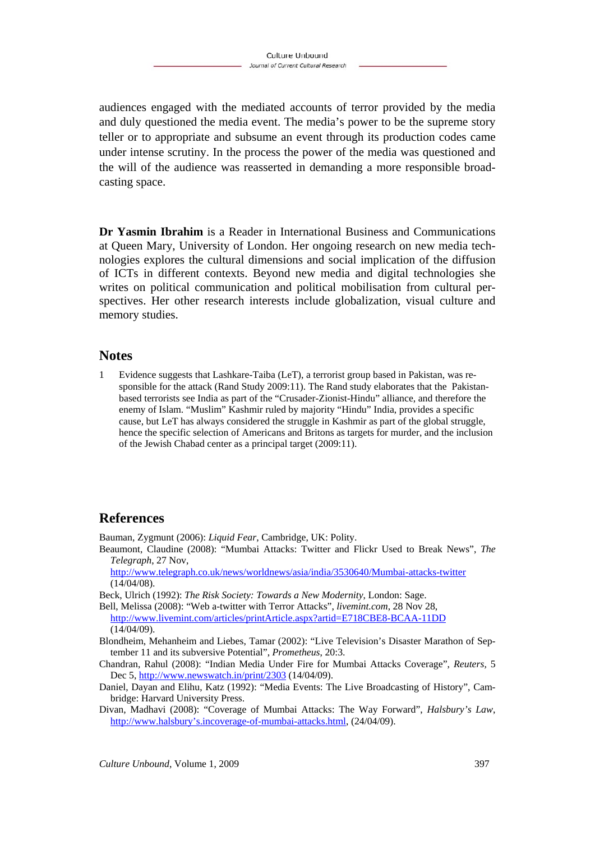audiences engaged with the mediated accounts of terror provided by the media and duly questioned the media event. The media's power to be the supreme story teller or to appropriate and subsume an event through its production codes came under intense scrutiny. In the process the power of the media was questioned and the will of the audience was reasserted in demanding a more responsible broadcasting space.

**Dr Yasmin Ibrahim** is a Reader in International Business and Communications at Queen Mary, University of London. Her ongoing research on new media technologies explores the cultural dimensions and social implication of the diffusion of ICTs in different contexts. Beyond new media and digital technologies she writes on political communication and political mobilisation from cultural perspectives. Her other research interests include globalization, visual culture and memory studies.

#### **Notes**

1 Evidence suggests that Lashkare-Taiba (LeT), a terrorist group based in Pakistan, was responsible for the attack (Rand Study 2009:11). The Rand study elaborates that the Pakistanbased terrorists see India as part of the "Crusader-Zionist-Hindu" alliance, and therefore the enemy of Islam. "Muslim" Kashmir ruled by majority "Hindu" India, provides a specific cause, but LeT has always considered the struggle in Kashmir as part of the global struggle, hence the specific selection of Americans and Britons as targets for murder, and the inclusion of the Jewish Chabad center as a principal target (2009:11).

# **References**

Bauman, Zygmunt (2006): *Liquid Fear*, Cambridge, UK: Polity.

Beaumont, Claudine (2008): "Mumbai Attacks: Twitter and Flickr Used to Break News", *The Telegraph*, 27 Nov,

<http://www.telegraph.co.uk/news/worldnews/asia/india/3530640/Mumbai-attacks-twitter> (14/04/08).

Beck, Ulrich (1992): *The Risk Society: Towards a New Modernity*, London: Sage.

Bell, Melissa (2008): "Web a-twitter with Terror Attacks", *livemint.com*, 28 Nov 28, <http://www.livemint.com/articles/printArticle.aspx?artid=E718CBE8-BCAA-11DD> (14/04/09).

- Blondheim, Mehanheim and Liebes, Tamar (2002): "Live Television's Disaster Marathon of September 11 and its subversive Potential", *Prometheus*, 20:3.
- Chandran, Rahul (2008): "Indian Media Under Fire for Mumbai Attacks Coverage", *Reuters,* 5 Dec 5,<http://www.newswatch.in/print/2303> (14/04/09).
- Daniel, Dayan and Elihu, Katz (1992): "Media Events: The Live Broadcasting of History", Cambridge: Harvard University Press.
- Divan, Madhavi (2008): "Coverage of Mumbai Attacks: The Way Forward", *Halsbury's Law*, [http://www.halsbury's.incoverage-of-mumbai-attacks.html](http://www.halsbury), (24/04/09).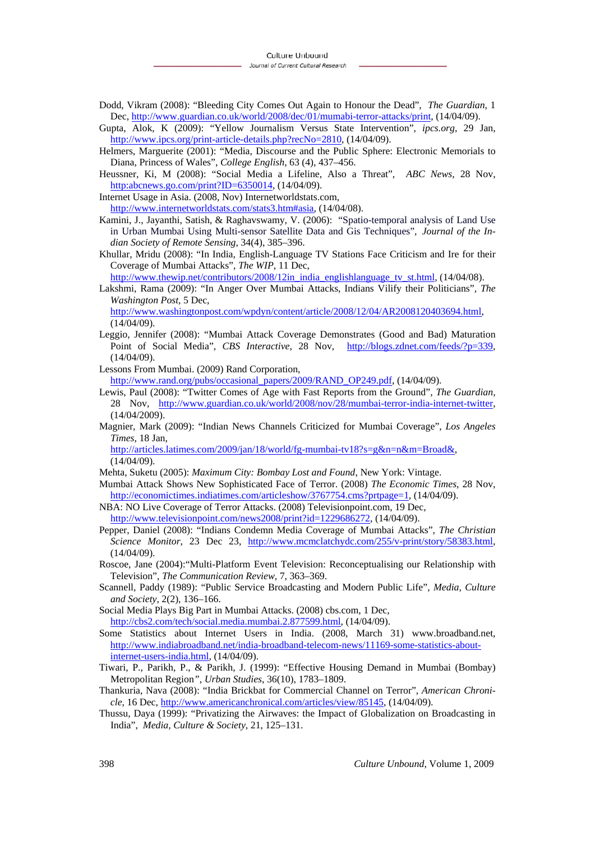- Dodd, Vikram (2008): "Bleeding City Comes Out Again to Honour the Dead", *The Guardian*, 1 Dec, <http://www.guardian.co.uk/world/2008/dec/01/mumabi-terror-attacks/print>, (14/04/09).
- Gupta, Alok, K (2009): "Yellow Journalism Versus State Intervention", *ipcs.org*, 29 Jan, [http://www.ipcs.org/print-article-details.php?recNo=2810,](http://www.ipcs.org/print-article-details.php?recNo=2810) (14/04/09).
- Helmers, Marguerite (2001): "Media, Discourse and the Public Sphere: Electronic Memorials to Diana, Princess of Wales", *College English*, 63 (4), 437–456.
- Heussner, Ki, M (2008): "Social Media a Lifeline, Also a Threat", *ABC News*, 28 Nov, [http:abcnews.go.com/print?ID=6350014,](http://abcnews.go.com/print?ID=6350014) (14/04/09).

Internet Usage in Asia. (2008, Nov) Internetworldstats.com, <http://www.internetworldstats.com/stats3.htm#asia>, (14/04/08).

- Kamini, J., Jayanthi, Satish, & Raghavswamy, V. (2006): "Spatio-temporal analysis of Land Use in Urban Mumbai Using Multi-sensor Satellite Data and Gis Techniques", *Journal of the Indian Society of Remote Sensing*, 34(4), 385–396.
- Khullar, Mridu (2008): "In India, English-Language TV Stations Face Criticism and Ire for their Coverage of Mumbai Attacks", *The WIP*, 11 Dec,

[http://www.thewip.net/contributors/2008/12in\\_india\\_englishlanguage\\_tv\\_st.html](http://www.thewip.net/contributors/2008/12in_india_englishlanguage_tv_st.html), (14/04/08).

Lakshmi, Rama (2009): "In Anger Over Mumbai Attacks, Indians Vilify their Politicians", *The Washington Post*, 5 Dec,

[http://www.washingtonpost.com/wpdyn/content/article/2008/12/04/AR2008120403694.html,](http://www.washingtonpost.com/wpdyn/content/article/2008/12/04/AR2008120403694.html) (14/04/09).

Leggio, Jennifer (2008): "Mumbai Attack Coverage Demonstrates (Good and Bad) Maturation Point of Social Media", *CBS Interactive*, 28 Nov, <http://blogs.zdnet.com/feeds/?p=339>, (14/04/09).

Lessons From Mumbai. (2009) Rand Corporation,

[http://www.rand.org/pubs/occasional\\_papers/2009/RAND\\_OP249.pdf](http://www.rand.org/pubs/occasional_papers/2009/RAND_OP249.pdf), (14/04/09).

- Lewis, Paul (2008): "Twitter Comes of Age with Fast Reports from the Ground", *The Guardian,* 28 Nov, [http://www.guardian.co.uk/world/2008/nov/28/mumbai-terror-india-internet-twitter,](http://www.guardian.co.uk/world/2008/nov/28/mumbai-terror-india-internet-twitter) (14/04/2009).
- Magnier, Mark (2009): "Indian News Channels Criticized for Mumbai Coverage", *Los Angeles Times*, 18 Jan,

<http://articles.latimes.com/2009/jan/18/world/fg-mumbai-tv18?s=g&n=n&m=Broad&>, (14/04/09).

- Mehta, Suketu (2005): *Maximum City: Bombay Lost and Found*, New York: Vintage.
- Mumbai Attack Shows New Sophisticated Face of Terror. (2008) *The Economic Times*, 28 Nov, <http://economictimes.indiatimes.com/articleshow/3767754.cms?prtpage=1>, (14/04/09).
- NBA: NO Live Coverage of Terror Attacks. (2008) Televisionpoint.com, 19 Dec, [http://www.televisionpoint.com/news2008/print?id=1229686272,](http://www.televisionpoint.com/news2008/print?id=1229686272) (14/04/09).
- Pepper, Daniel (2008): "Indians Condemn Media Coverage of Mumbai Attacks", *The Christian Science Monitor*, 23 Dec 23, <http://www.mcmclatchydc.com/255/v-print/story/58383.html>, (14/04/09).
- Roscoe, Jane (2004):"Multi-Platform Event Television: Reconceptualising our Relationship with Television", *The Communication Review*, 7, 363–369.
- Scannell, Paddy (1989): "Public Service Broadcasting and Modern Public Life", *Media, Culture and Society*, 2(2), 136–166.
- Social Media Plays Big Part in Mumbai Attacks. (2008) cbs.com, 1 Dec,
- <http://cbs2.com/tech/social.media.mumbai.2.877599.html>, (14/04/09). Some Statistics about Internet Users in India. (2008, March 31) www.broadband.net, [http://www.indiabroadband.net/india-broadband-telecom-news/11169-some-statistics-about](http://www.indiabroadband.net/india-broadband-telecom-news/11169-some-statistics-about-internet-users-india.html)[internet-users-india.html](http://www.indiabroadband.net/india-broadband-telecom-news/11169-some-statistics-about-internet-users-india.html), (14/04/09).
- Tiwari, P., Parikh, P., & Parikh, J. (1999): "Effective Housing Demand in Mumbai (Bombay) Metropolitan Region*", Urban Studies*, 36(10), 1783–1809.
- Thankuria, Nava (2008): "India Brickbat for Commercial Channel on Terror", *American Chronicle*, 16 Dec, <http://www.americanchronical.com/articles/view/85145>, (14/04/09).
- Thussu, Daya (1999): "Privatizing the Airwaves: the Impact of Globalization on Broadcasting in India", *Media, Culture & Society*, 21, 125–131.